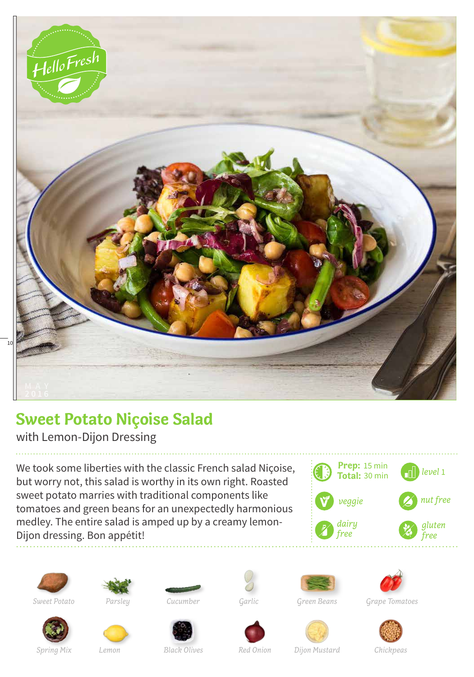

## **Sweet Potato Niçoise Salad**

with Lemon-Dijon Dressing

We took some liberties with the classic French salad Niçoise, but worry not, this salad is worthy in its own right. Roasted sweet potato marries with traditional components like tomatoes and green beans for an unexpectedly harmonious medley. The entire salad is amped up by a creamy lemon-Dijon dressing. Bon appétit!













*Sweet Potato Parsley Cucumber Green Beans Grape Tomatoes*